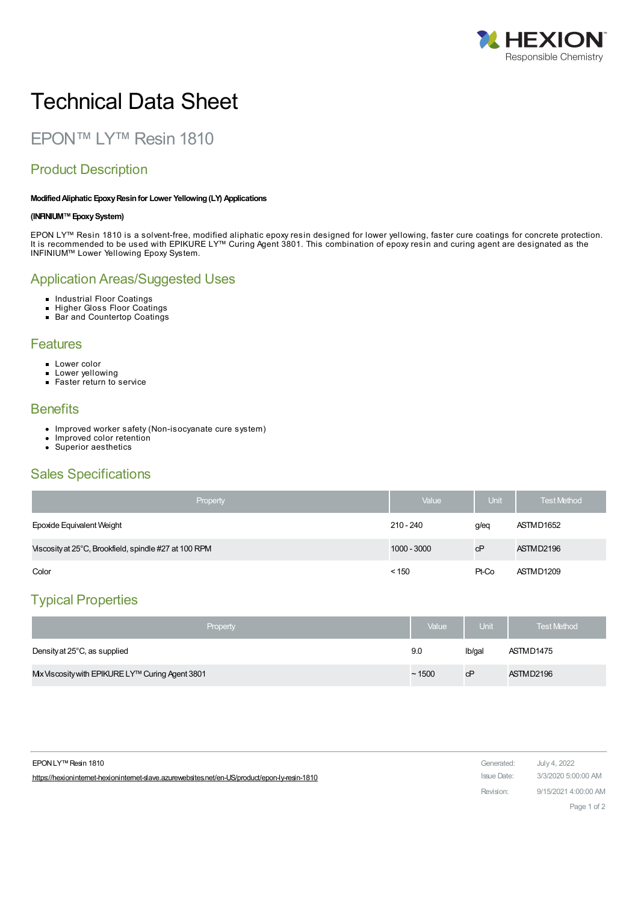

# Technical Data Sheet

EPON™ LY™ Resin 1810

## Product Description

#### **ModifiedAliphatic EpoxyResinfor Lower Yellowing(LY) Applications**

#### **(INFINIUM™EpoxySystem)**

EPON LY™ Resin 1810 is a solvent-free, modified aliphatic epoxy resin designed for lower yellowing, faster cure coatings for concrete protection. It is recommended to be used with EPIKURE LY™ Curing Agent 3801. This combination of epoxy resin and curing agent are designated as the INFINIUM™ Lower Yellowing Epoxy System.

## Application Areas/Suggested Uses

- Industrial Floor Coatings
- Higher Gloss Floor Coatings
- Bar and Countertop Coatings

#### **Features**

- **Lower color**
- **Lower yellowing**
- Faster return to service

#### **Benefits**

- Improved worker safety (Non-isocyanate cure system)
- Improved color retention  $\bullet$
- Superior aesthetics

## Sales Specifications

| Property                                              | Value         | Unit  | <b>Test Method</b> |
|-------------------------------------------------------|---------------|-------|--------------------|
| Epoxide Equivalent Weight                             | $210 - 240$   | g/eq  | ASTMD1652          |
| Viscosity at 25°C, Brookfield, spindle #27 at 100 RPM | $1000 - 3000$ | cP    | ASTMD2196          |
| Color                                                 | < 150         | Pt-Co | ASTMD1209          |

## Typical Properties

| Property                                        | Value | Unit   | <b>Test Method</b> |
|-------------------------------------------------|-------|--------|--------------------|
| Density at 25°C, as supplied                    | 9.0   | Ib/gal | ASTMD1475          |
| Mx Viscosity with EPIKURE LY™ Curing Agent 3801 | ~1500 | cP     | ASTMD2196          |

| EPON LY™ Resin 1810                                                                          | Generated:  | July 4, 2022         |
|----------------------------------------------------------------------------------------------|-------------|----------------------|
| https://hexionintemet-hexionintemet-slave.azurewebsites.net/en-US/product/epon-ly-resin-1810 | Issue Date: | 3/3/2020 5:00:00 AM  |
|                                                                                              | Revision:   | 9/15/2021 4:00:00 AM |
|                                                                                              |             | Page 1 of 2          |